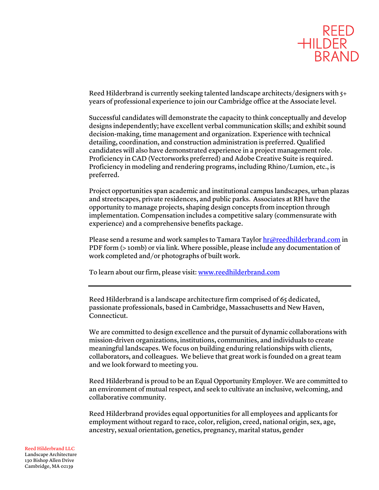

Reed Hilderbrand is currently seeking talented landscape architects/designers with 5+ years of professional experience to join our Cambridge office at the Associate level.

Successful candidates will demonstrate the capacity to think conceptually and develop designs independently; have excellent verbal communication skills; and exhibit sound decision-making, time management and organization. Experience with technical detailing, coordination, and construction administration is preferred. Qualified candidates will also have demonstrated experience in a project management role. Proficiency in CAD (Vectorworks preferred) and Adobe Creative Suite is required. Proficiency in modeling and rendering programs, including Rhino/Lumion, etc., is preferred.

Project opportunities span academic and institutional campus landscapes, urban plazas and streetscapes, private residences, and public parks. Associates at RH have the opportunity to manage projects, shaping design concepts from inception through implementation. Compensation includes a competitive salary (commensurate with experience) and a comprehensive benefits package.

Please send a resume and work samples to Tamara Taylor  $hr@reedhilderbrand.com$  in PDF form (> 10mb) or via link. Where possible, please include any documentation of work completed and/or photographs of built work.

To learn about our firm, please visit: www.reedhilderbrand.com

Reed Hilderbrand is a landscape architecture firm comprised of 65 dedicated, passionate professionals, based in Cambridge, Massachusetts and New Haven, Connecticut.

We are committed to design excellence and the pursuit of dynamic collaborations with mission-driven organizations, institutions, communities, and individuals to create meaningful landscapes. We focus on building enduring relationships with clients, collaborators, and colleagues. We believe that great work is founded on a great team and we look forward to meeting you.

Reed Hilderbrand is proud to be an Equal Opportunity Employer. We are committed to an environment of mutual respect, and seek to cultivate an inclusive, welcoming, and collaborative community.

Reed Hilderbrand provides equal opportunities for all employees and applicants for employment without regard to race, color, religion, creed, national origin, sex, age, ancestry, sexual orientation, genetics, pregnancy, marital status, gender

Reed Hilderbrand LLC Landscape Architecture 130 Bishop Allen Drive Cambridge, MA 02139